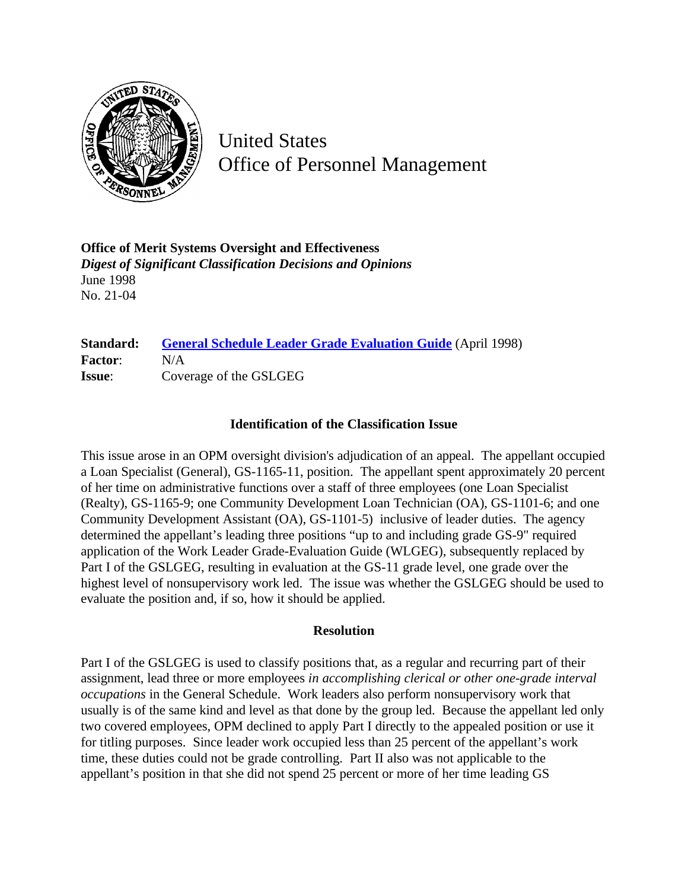

United States Office of Personnel Management

**Office of Merit Systems Oversight and Effectiveness** *Digest of Significant Classification Decisions and Opinions* June 1998 No. 21-04

## **Standard: [General Schedule Leader Grade Evaluation Guide](http://www.opm.gov/hr/fedclass/gslead.pdf)** (April 1998) **Factor**: N/A **Issue**: Coverage of the GSLGEG

## **Identification of the Classification Issue**

This issue arose in an OPM oversight division's adjudication of an appeal. The appellant occupied a Loan Specialist (General), GS-1165-11, position. The appellant spent approximately 20 percent of her time on administrative functions over a staff of three employees (one Loan Specialist (Realty), GS-1165-9; one Community Development Loan Technician (OA), GS-1101-6; and one Community Development Assistant (OA), GS-1101-5) inclusive of leader duties. The agency determined the appellant's leading three positions "up to and including grade GS-9" required application of the Work Leader Grade-Evaluation Guide (WLGEG), subsequently replaced by Part I of the GSLGEG, resulting in evaluation at the GS-11 grade level, one grade over the highest level of nonsupervisory work led. The issue was whether the GSLGEG should be used to evaluate the position and, if so, how it should be applied.

## **Resolution**

Part I of the GSLGEG is used to classify positions that, as a regular and recurring part of their assignment, lead three or more employees *in accomplishing clerical or other one-grade interval occupations* in the General Schedule. Work leaders also perform nonsupervisory work that usually is of the same kind and level as that done by the group led. Because the appellant led only two covered employees, OPM declined to apply Part I directly to the appealed position or use it for titling purposes. Since leader work occupied less than 25 percent of the appellant's work time, these duties could not be grade controlling. Part II also was not applicable to the appellant's position in that she did not spend 25 percent or more of her time leading GS